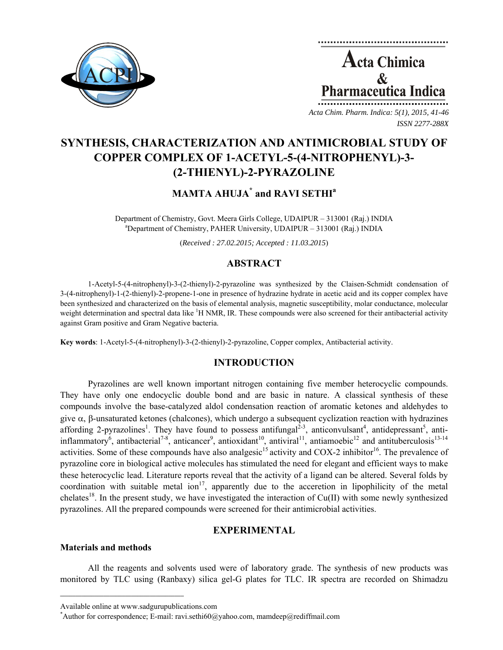

**Acta Chimica**  $\mathcal{R}_{\mathcal{L}}$ Pharmaceutica Ind *Acta Chim. Pharm. Indica: 5(1), 2015, 41-46*

*ISSN 2277-288X*

**SYNTHESIS, CHARACTERIZATION AND ANTIMICROBIAL STUDY OF COPPER COMPLEX OF 1-ACETYL-5-(4-NITROPHENYL)-3- (2-THIENYL)-2-PYRAZOLINE** 

# **MAMTA AHUJA\* and RAVI SETHI<sup>a</sup>**

Department of Chemistry, Govt. Meera Girls College, UDAIPUR – 313001 (Raj.) INDIA a Department of Chemistry, PAHER University, UDAIPUR – 313001 (Raj.) INDIA

(*Received : 27.02.2015; Accepted : 11.03.2015*)

# **ABSTRACT**

1-Acetyl-5-(4-nitrophenyl)-3-(2-thienyl)-2-pyrazoline was synthesized by the Claisen-Schmidt condensation of 3-(4-nitrophenyl)-1-(2-thienyl)-2-propene-1-one in presence of hydrazine hydrate in acetic acid and its copper complex have been synthesized and characterized on the basis of elemental analysis, magnetic susceptibility, molar conductance, molecular weight determination and spectral data like <sup>1</sup>H NMR, IR. These compounds were also screened for their antibacterial activity against Gram positive and Gram Negative bacteria.

**Key words**: 1-Acetyl-5-(4-nitrophenyl)-3-(2-thienyl)-2-pyrazoline, Copper complex, Antibacterial activity.

# **INTRODUCTION**

Pyrazolines are well known important nitrogen containing five member heterocyclic compounds. They have only one endocyclic double bond and are basic in nature. A classical synthesis of these compounds involve the base-catalyzed aldol condensation reaction of aromatic ketones and aldehydes to give  $\alpha$ , β-unsaturated ketones (chalcones), which undergo a subsequent cyclization reaction with hydrazines affording 2-pyrazolines<sup>1</sup>. They have found to possess antifungal<sup>2-3</sup>, anticonvulsant<sup>4</sup>, antidepressant<sup>5</sup>, antiinflammatory<sup>6</sup>, antibacterial<sup>7-8</sup>, anticancer<sup>9</sup>, antioxidant<sup>10</sup>, antiviral<sup>11</sup>, antiamoebic<sup>12</sup> and antituberculosis<sup>13-14</sup> activities. Some of these compounds have also analgesic<sup>15</sup> activity and COX-2 inhibitor<sup>16</sup>. The prevalence of pyrazoline core in biological active molecules has stimulated the need for elegant and efficient ways to make these heterocyclic lead. Literature reports reveal that the activity of a ligand can be altered. Several folds by coordination with suitable metal ion<sup>17</sup>, apparently due to the acceretion in lipophilicity of the metal chelates<sup>18</sup>. In the present study, we have investigated the interaction of Cu(II) with some newly synthesized pyrazolines. All the prepared compounds were screened for their antimicrobial activities.

# **EXPERIMENTAL**

### **Materials and methods**

All the reagents and solvents used were of laboratory grade. The synthesis of new products was monitored by TLC using (Ranbaxy) silica gel-G plates for TLC. IR spectra are recorded on Shimadzu

 $\mathcal{L} = \{ \mathcal{L} \}$ 

Available online at www.sadgurupublications.com \*

Author for correspondence; E-mail: ravi.sethi60@yahoo.com, mamdeep@rediffmail.com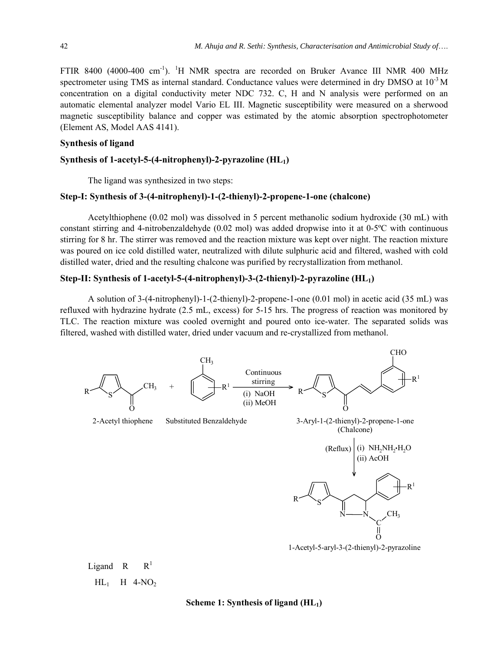FTIR 8400 (4000-400 cm<sup>-1</sup>). <sup>1</sup>H NMR spectra are recorded on Bruker Avance III NMR 400 MHz spectrometer using TMS as internal standard. Conductance values were determined in dry DMSO at  $10^{-3}$  M concentration on a digital conductivity meter NDC 732. C, H and N analysis were performed on an automatic elemental analyzer model Vario EL III. Magnetic susceptibility were measured on a sherwood magnetic susceptibility balance and copper was estimated by the atomic absorption spectrophotometer (Element AS, Model AAS 4141).

#### **Synthesis of ligand**

 $HL_1$  H 4-NO<sub>2</sub>

### Synthesis of 1-acetyl-5-(4-nitrophenyl)-2-pyrazoline (HL<sub>1</sub>)

The ligand was synthesized in two steps:

#### **Step-I: Synthesis of 3-(4-nitrophenyl)-1-(2-thienyl)-2-propene-1-one (chalcone)**

Acetylthiophene (0.02 mol) was dissolved in 5 percent methanolic sodium hydroxide (30 mL) with constant stirring and 4-nitrobenzaldehyde (0.02 mol) was added dropwise into it at 0-5ºC with continuous stirring for 8 hr. The stirrer was removed and the reaction mixture was kept over night. The reaction mixture was poured on ice cold distilled water, neutralized with dilute sulphuric acid and filtered, washed with cold distilled water, dried and the resulting chalcone was purified by recrystallization from methanol.

#### **Step-II: Synthesis of 1-acetyl-5-(4-nitrophenyl)-3-(2-thienyl)-2-pyrazoline (HL1)**

A solution of 3-(4-nitrophenyl)-1-(2-thienyl)-2-propene-1-one (0.01 mol) in acetic acid (35 mL) was refluxed with hydrazine hydrate (2.5 mL, excess) for 5-15 hrs. The progress of reaction was monitored by TLC. The reaction mixture was cooled overnight and poured onto ice-water. The separated solids was filtered, washed with distilled water, dried under vacuum and re-crystallized from methanol.

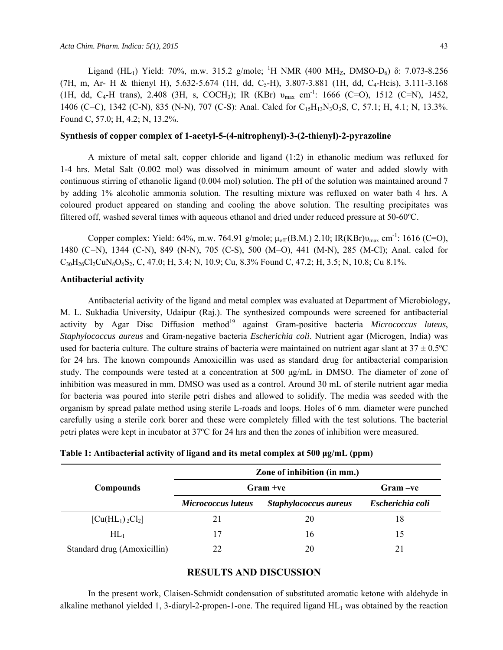Ligand (HL<sub>1</sub>) Yield: 70%, m.w. 315.2 g/mole; <sup>1</sup>H NMR (400 MH<sub>Z</sub>, DMSO-D<sub>6</sub>) δ: 7.073-8.256 (7H, m, Ar- H & thienyl H), 5.632-5.674 (1H, dd, C<sub>5</sub>-H), 3.807-3.881 (1H, dd, C<sub>4</sub>-Hcis), 3.111-3.168 (1H, dd, C<sub>4</sub>-H trans), 2.408 (3H, s, COCH<sub>3</sub>); IR (KBr)  $v_{\text{max}}$  cm<sup>-1</sup>: 1666 (C=O), 1512 (C=N), 1452, 1406 (C=C), 1342 (C-N), 835 (N-N), 707 (C-S): Anal. Calcd for C<sub>15</sub>H<sub>13</sub>N<sub>3</sub>O<sub>3</sub>S, C, 57.1; H, 4.1; N, 13.3%. Found C, 57.0; H, 4.2; N, 13.2%.

#### **Synthesis of copper complex of 1-acetyl-5-(4-nitrophenyl)-3-(2-thienyl)-2-pyrazoline**

A mixture of metal salt, copper chloride and ligand (1:2) in ethanolic medium was refluxed for 1-4 hrs. Metal Salt (0.002 mol) was dissolved in minimum amount of water and added slowly with continuous stirring of ethanolic ligand (0.004 mol) solution. The pH of the solution was maintained around 7 by adding 1% alcoholic ammonia solution. The resulting mixture was refluxed on water bath 4 hrs. A coloured product appeared on standing and cooling the above solution. The resulting precipitates was filtered off, washed several times with aqueous ethanol and dried under reduced pressure at 50-60ºC.

Copper complex: Yield: 64%, m.w. 764.91 g/mole; μ<sub>eff</sub> (B.M.) 2.10; IR(KBr) υ<sub>max</sub> cm<sup>-1</sup>: 1616 (C=O), 1480 (C=N), 1344 (C-N), 849 (N-N), 705 (C-S), 500 (M=O), 441 (M-N), 285 (M-Cl); Anal. calcd for  $C_{30}H_{26}Cl_2CuN_6O_6S_2$ , C, 47.0; H, 3.4; N, 10.9; Cu, 8.3% Found C, 47.2; H, 3.5; N, 10.8; Cu 8.1%.

#### **Antibacterial activity**

Antibacterial activity of the ligand and metal complex was evaluated at Department of Microbiology, M. L. Sukhadia University, Udaipur (Raj.). The synthesized compounds were screened for antibacterial activity by Agar Disc Diffusion method<sup>19</sup> against Gram-positive bacteria *Micrococcus luteus*, *Staphylococcus aureus* and Gram-negative bacteria *Escherichia coli*. Nutrient agar (Microgen, India) was used for bacteria culture. The culture strains of bacteria were maintained on nutrient agar slant at  $37 \pm 0.5^{\circ}$ C for 24 hrs. The known compounds Amoxicillin was used as standard drug for antibacterial comparision study. The compounds were tested at a concentration at 500 μg/mL in DMSO. The diameter of zone of inhibition was measured in mm. DMSO was used as a control. Around 30 mL of sterile nutrient agar media for bacteria was poured into sterile petri dishes and allowed to solidify. The media was seeded with the organism by spread palate method using sterile L-roads and loops. Holes of 6 mm. diameter were punched carefully using a sterile cork borer and these were completely filled with the test solutions. The bacterial petri plates were kept in incubator at 37ºC for 24 hrs and then the zones of inhibition were measured.

|                                                            | Zone of inhibition (in mm.) |                       |                  |
|------------------------------------------------------------|-----------------------------|-----------------------|------------------|
| <b>Compounds</b>                                           | $Gram +ve$                  |                       | Gram -ve         |
|                                                            | <b>Micrococcus luteus</b>   | Staphylococcus aureus | Escherichia coli |
| $\left[ \text{Cu}(\text{HL}_1) \, {}_2\text{Cl}_2 \right]$ | 21                          | 20                    | 18               |
| $HL_1$                                                     | 17                          | 16                    | 15               |
| Standard drug (Amoxicillin)                                | 22                          | 20                    | 21               |

#### **Table 1: Antibacterial activity of ligand and its metal complex at 500 μg/mL (ppm)**

### **RESULTS AND DISCUSSION**

In the present work, Claisen-Schmidt condensation of substituted aromatic ketone with aldehyde in alkaline methanol yielded 1, 3-diaryl-2-propen-1-one. The required ligand  $HL_1$  was obtained by the reaction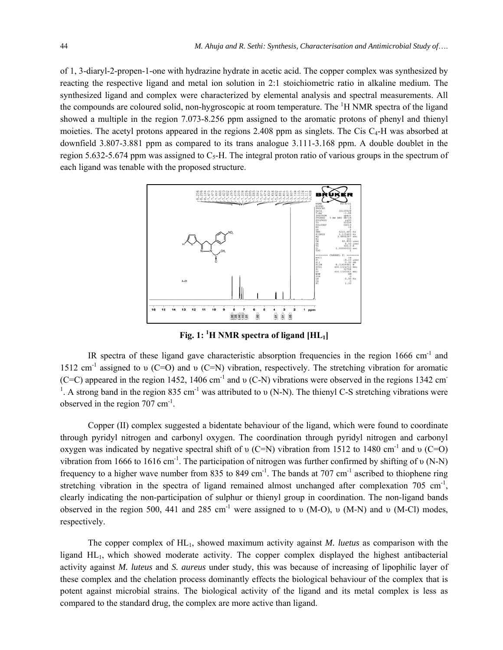of 1, 3-diaryl-2-propen-1-one with hydrazine hydrate in acetic acid. The copper complex was synthesized by reacting the respective ligand and metal ion solution in 2:1 stoichiometric ratio in alkaline medium. The synthesized ligand and complex were characterized by elemental analysis and spectral measurements. All the compounds are coloured solid, non-hygroscopic at room temperature. The <sup>1</sup>H NMR spectra of the ligand showed a multiple in the region 7.073-8.256 ppm assigned to the aromatic protons of phenyl and thienyl moieties. The acetyl protons appeared in the regions  $2.408$  ppm as singlets. The Cis C<sub>4</sub>-H was absorbed at downfield 3.807-3.881 ppm as compared to its trans analogue 3.111-3.168 ppm. A double doublet in the region 5.632-5.674 ppm was assigned to  $C_5$ -H. The integral proton ratio of various groups in the spectrum of each ligand was tenable with the proposed structure.



**Fig. 1: 1 H NMR spectra of ligand [HL1]** 

IR spectra of these ligand gave characteristic absorption frequencies in the region 1666 cm<sup>-1</sup> and 1512 cm<sup>-1</sup> assigned to v (C=O) and v (C=N) vibration, respectively. The stretching vibration for aromatic (C=C) appeared in the region 1452, 1406 cm<sup>-1</sup> and  $\nu$  (C-N) vibrations were observed in the regions 1342 cm<sup>-1</sup> <sup>1</sup>. A strong band in the region 835 cm<sup>-1</sup> was attributed to v (N-N). The thienyl C-S stretching vibrations were observed in the region  $707 \text{ cm}^{-1}$ .

Copper (II) complex suggested a bidentate behaviour of the ligand, which were found to coordinate through pyridyl nitrogen and carbonyl oxygen. The coordination through pyridyl nitrogen and carbonyl oxygen was indicated by negative spectral shift of  $\nu$  (C=N) vibration from 1512 to 1480 cm<sup>-1</sup> and  $\nu$  (C=O) vibration from 1666 to 1616 cm<sup>-1</sup>. The participation of nitrogen was further confirmed by shifting of v (N-N) frequency to a higher wave number from 835 to 849 cm<sup>-1</sup>. The bands at 707 cm<sup>-1</sup> ascribed to thiophene ring stretching vibration in the spectra of ligand remained almost unchanged after complexation 705 cm<sup>-1</sup>, clearly indicating the non-participation of sulphur or thienyl group in coordination. The non-ligand bands observed in the region 500, 441 and 285 cm<sup>-1</sup> were assigned to υ (M-O), υ (M-N) and υ (M-Cl) modes, respectively.

The copper complex of HL1, showed maximum activity against *M. luetus* as comparison with the ligand HL1, which showed moderate activity. The copper complex displayed the highest antibacterial activity against *M. luteus* and *S. aureus* under study, this was because of increasing of lipophilic layer of these complex and the chelation process dominantly effects the biological behaviour of the complex that is potent against microbial strains. The biological activity of the ligand and its metal complex is less as compared to the standard drug, the complex are more active than ligand.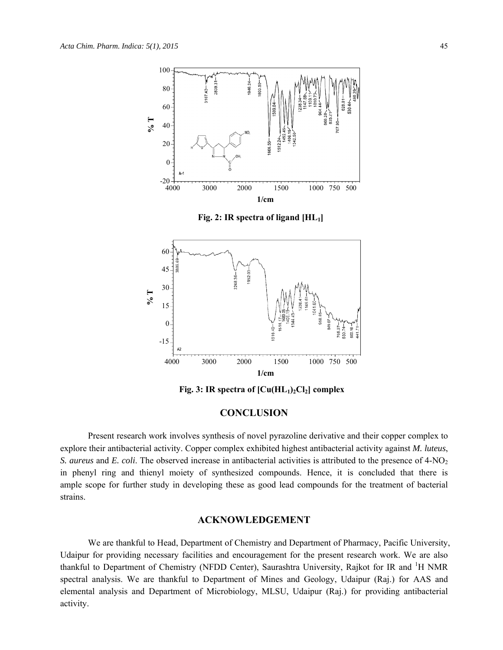

Fig. 3: IR spectra of  $\left[ Cu(HL_1)_2Cl_2 \right]$  complex

# **CONCLUSION**

Present research work involves synthesis of novel pyrazoline derivative and their copper complex to explore their antibacterial activity. Copper complex exhibited highest antibacterial activity against *M. luteus*, *S. aureus* and *E. coli*. The observed increase in antibacterial activities is attributed to the presence of 4-NO<sub>2</sub> in phenyl ring and thienyl moiety of synthesized compounds. Hence, it is concluded that there is ample scope for further study in developing these as good lead compounds for the treatment of bacterial strains.

### **ACKNOWLEDGEMENT**

We are thankful to Head, Department of Chemistry and Department of Pharmacy, Pacific University, Udaipur for providing necessary facilities and encouragement for the present research work. We are also thankful to Department of Chemistry (NFDD Center), Saurashtra University, Rajkot for IR and <sup>1</sup>H NMR spectral analysis. We are thankful to Department of Mines and Geology, Udaipur (Raj.) for AAS and elemental analysis and Department of Microbiology, MLSU, Udaipur (Raj.) for providing antibacterial activity.